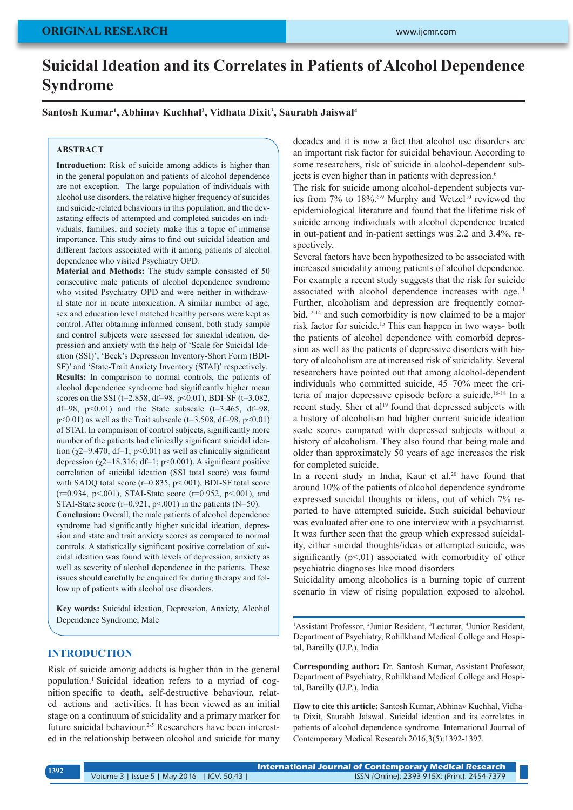# **Suicidal Ideation and its Correlates in Patients of Alcohol Dependence Syndrome**

**Santosh Kumar1 , Abhinav Kuchhal2 , Vidhata Dixit3 , Saurabh Jaiswal4**

#### **ABSTRACT**

**Introduction:** Risk of suicide among addicts is higher than in the general population and patients of alcohol dependence are not exception. The large population of individuals with alcohol use disorders, the relative higher frequency of suicides and suicide-related behaviours in this population, and the devastating effects of attempted and completed suicides on individuals, families, and society make this a topic of immense importance. This study aims to find out suicidal ideation and different factors associated with it among patients of alcohol dependence who visited Psychiatry OPD.

**Material and Methods:** The study sample consisted of 50 consecutive male patients of alcohol dependence syndrome who visited Psychiatry OPD and were neither in withdrawal state nor in acute intoxication. A similar number of age, sex and education level matched healthy persons were kept as control. After obtaining informed consent, both study sample and control subjects were assessed for suicidal ideation, depression and anxiety with the help of 'Scale for Suicidal Ideation (SSI)', 'Beck's Depression Inventory-Short Form (BDI-SF)' and 'State-Trait Anxiety Inventory (STAI)' respectively. **Results:** In comparison to normal controls, the patients of alcohol dependence syndrome had significantly higher mean scores on the SSI ( $t=2.858$ ,  $df=98$ ,  $p<0.01$ ), BDI-SF ( $t=3.082$ , df=98,  $p<0.01$ ) and the State subscale (t=3.465, df=98,  $p$ <0.01) as well as the Trait subscale ( $t=3.508$ ,  $df=98$ ,  $p$ <0.01) of STAI. In comparison of control subjects, significantly more number of the patients had clinically significant suicidal ideation ( $\gamma$ 2=9.470; df=1; p<0.01) as well as clinically significant depression ( $\chi$ 2=18.316; df=1; p<0.001). A significant positive correlation of suicidal ideation (SSI total score) was found with SADQ total score (r=0.835, p<.001), BDI-SF total score  $(r=0.934, p<0.01)$ , STAI-State score  $(r=0.952, p<0.01)$ , and STAI-State score ( $r=0.921$ ,  $p<.001$ ) in the patients (N=50).

**Conclusion:** Overall, the male patients of alcohol dependence syndrome had significantly higher suicidal ideation, depression and state and trait anxiety scores as compared to normal controls. A statistically significant positive correlation of suicidal ideation was found with levels of depression, anxiety as well as severity of alcohol dependence in the patients. These issues should carefully be enquired for during therapy and follow up of patients with alcohol use disorders.

**Key words:** Suicidal ideation, Depression, Anxiety, Alcohol Dependence Syndrome, Male

#### **INTRODUCTION**

Risk of suicide among addicts is higher than in the general population.1 Suicidal ideation refers to a myriad of cognition specific to death, self-destructive behaviour, related actions and activities. It has been viewed as an initial stage on a continuum of suicidality and a primary marker for future suicidal behaviour.<sup>2-5</sup> Researchers have been interested in the relationship between alcohol and suicide for many decades and it is now a fact that alcohol use disorders are an important risk factor for suicidal behaviour. According to some researchers, risk of suicide in alcohol-dependent subjects is even higher than in patients with depression.<sup>6</sup>

The risk for suicide among alcohol-dependent subjects varies from  $7\%$  to  $18\%$ .<sup>6-9</sup> Murphy and Wetzel<sup>10</sup> reviewed the epidemiological literature and found that the lifetime risk of suicide among individuals with alcohol dependence treated in out-patient and in-patient settings was 2.2 and 3.4%, respectively.

Several factors have been hypothesized to be associated with increased suicidality among patients of alcohol dependence. For example a recent study suggests that the risk for suicide associated with alcohol dependence increases with age.<sup>11</sup> Further, alcoholism and depression are frequently comorbid.12-14 and such comorbidity is now claimed to be a major risk factor for suicide.15 This can happen in two ways- both the patients of alcohol dependence with comorbid depression as well as the patients of depressive disorders with history of alcoholism are at increased risk of suicidality. Several researchers have pointed out that among alcohol-dependent individuals who committed suicide, 45–70% meet the criteria of major depressive episode before a suicide.16-18 In a recent study. Sher et al<sup>19</sup> found that depressed subjects with a history of alcoholism had higher current suicide ideation scale scores compared with depressed subjects without a history of alcoholism. They also found that being male and older than approximately 50 years of age increases the risk for completed suicide.

In a recent study in India, Kaur et al.<sup>20</sup> have found that around 10% of the patients of alcohol dependence syndrome expressed suicidal thoughts or ideas, out of which 7% reported to have attempted suicide. Such suicidal behaviour was evaluated after one to one interview with a psychiatrist. It was further seen that the group which expressed suicidality, either suicidal thoughts/ideas or attempted suicide, was significantly  $(p<01)$  associated with comorbidity of other psychiatric diagnoses like mood disorders

Suicidality among alcoholics is a burning topic of current scenario in view of rising population exposed to alcohol.

<sup>1</sup>Assistant Professor, <sup>2</sup>Junior Resident, <sup>3</sup>Lecturer, <sup>4</sup>Junior Resident, Department of Psychiatry, Rohilkhand Medical College and Hospital, Bareilly (U.P.), India

**Corresponding author:** Dr. Santosh Kumar, Assistant Professor, Department of Psychiatry, Rohilkhand Medical College and Hospital, Bareilly (U.P.), India

**How to cite this article:** Santosh Kumar, Abhinav Kuchhal, Vidhata Dixit, Saurabh Jaiswal. Suicidal ideation and its correlates in patients of alcohol dependence syndrome. International Journal of Contemporary Medical Research 2016;3(5):1392-1397.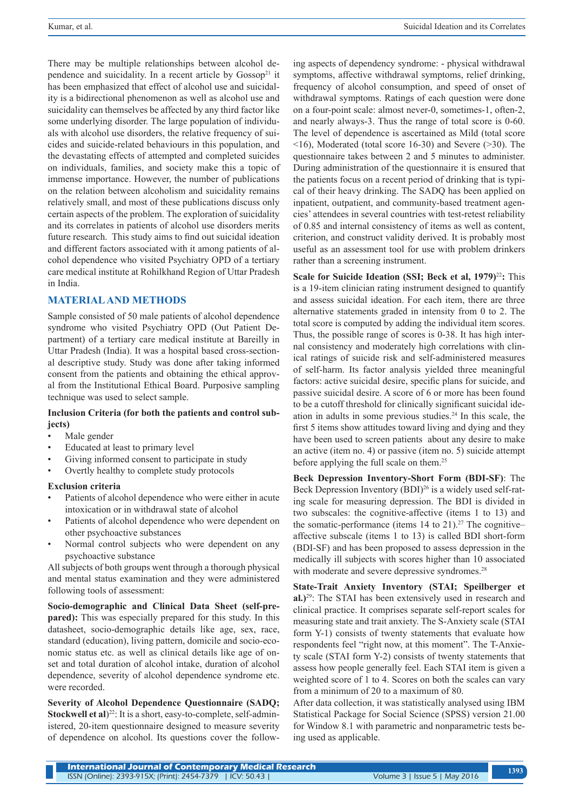There may be multiple relationships between alcohol dependence and suicidality. In a recent article by  $Gossop<sup>21</sup>$  it has been emphasized that effect of alcohol use and suicidality is a bidirectional phenomenon as well as alcohol use and suicidality can themselves be affected by any third factor like some underlying disorder. The large population of individuals with alcohol use disorders, the relative frequency of suicides and suicide-related behaviours in this population, and the devastating effects of attempted and completed suicides on individuals, families, and society make this a topic of immense importance. However, the number of publications on the relation between alcoholism and suicidality remains relatively small, and most of these publications discuss only certain aspects of the problem. The exploration of suicidality and its correlates in patients of alcohol use disorders merits future research. This study aims to find out suicidal ideation and different factors associated with it among patients of alcohol dependence who visited Psychiatry OPD of a tertiary care medical institute at Rohilkhand Region of Uttar Pradesh in India.

## **MATERIAL AND METHODS**

Sample consisted of 50 male patients of alcohol dependence syndrome who visited Psychiatry OPD (Out Patient Department) of a tertiary care medical institute at Bareilly in Uttar Pradesh (India). It was a hospital based cross-sectional descriptive study. Study was done after taking informed consent from the patients and obtaining the ethical approval from the Institutional Ethical Board. Purposive sampling technique was used to select sample.

### **Inclusion Criteria (for both the patients and control subjects)**

- Male gender
- Educated at least to primary level
- Giving informed consent to participate in study
- Overtly healthy to complete study protocols

### **Exclusion criteria**

- Patients of alcohol dependence who were either in acute intoxication or in withdrawal state of alcohol
- Patients of alcohol dependence who were dependent on other psychoactive substances
- Normal control subjects who were dependent on any psychoactive substance

All subjects of both groups went through a thorough physical and mental status examination and they were administered following tools of assessment:

**Socio-demographic and Clinical Data Sheet (self-prepared):** This was especially prepared for this study. In this datasheet, socio-demographic details like age, sex, race, standard (education), living pattern, domicile and socio-economic status etc. as well as clinical details like age of onset and total duration of alcohol intake, duration of alcohol dependence, severity of alcohol dependence syndrome etc. were recorded.

**Severity of Alcohol Dependence Questionnaire (SADQ; Stockwell et al**)<sup>22</sup>: It is a short, easy-to-complete, self-administered, 20-item questionnaire designed to measure severity of dependence on alcohol. Its questions cover the follow-

ing aspects of dependency syndrome: - physical withdrawal symptoms, affective withdrawal symptoms, relief drinking, frequency of alcohol consumption, and speed of onset of withdrawal symptoms. Ratings of each question were done on a four-point scale: almost never-0, sometimes-1, often-2, and nearly always-3. Thus the range of total score is 0-60. The level of dependence is ascertained as Mild (total score  $\le$ 16), Moderated (total score 16-30) and Severe ( $\ge$ 30). The questionnaire takes between 2 and 5 minutes to administer. During administration of the questionnaire it is ensured that the patients focus on a recent period of drinking that is typical of their heavy drinking. The SADQ has been applied on inpatient, outpatient, and community-based treatment agencies' attendees in several countries with test-retest reliability of 0.85 and internal consistency of items as well as content, criterion, and construct validity derived. It is probably most useful as an assessment tool for use with problem drinkers rather than a screening instrument.

**Scale for Suicide Ideation (SSI; Beck et al, 1979)<sup>22</sup>: This** is a 19-item clinician rating instrument designed to quantify and assess suicidal ideation. For each item, there are three alternative statements graded in intensity from 0 to 2. The total score is computed by adding the individual item scores. Thus, the possible range of scores is 0-38. It has high internal consistency and moderately high correlations with clinical ratings of suicide risk and self-administered measures of self-harm. Its factor analysis yielded three meaningful factors: active suicidal desire, specific plans for suicide, and passive suicidal desire. A score of 6 or more has been found to be a cutoff threshold for clinically significant suicidal ideation in adults in some previous studies.24 In this scale, the first 5 items show attitudes toward living and dying and they have been used to screen patients about any desire to make an active (item no. 4) or passive (item no. 5) suicide attempt before applying the full scale on them.<sup>25</sup>

**Beck Depression Inventory-Short Form (BDI-SF)**: The Beck Depression Inventory (BDI)<sup>26</sup> is a widely used self-rating scale for measuring depression. The BDI is divided in two subscales: the cognitive-affective (items 1 to 13) and the somatic-performance (items  $14$  to  $21$ ).<sup>27</sup> The cognitive– affective subscale (items 1 to 13) is called BDI short-form (BDI-SF) and has been proposed to assess depression in the medically ill subjects with scores higher than 10 associated with moderate and severe depressive syndromes.<sup>28</sup>

**State-Trait Anxiety Inventory (STAI; Speilberger et al.)**<sup>29</sup>: The STAI has been extensively used in research and clinical practice. It comprises separate self-report scales for measuring state and trait anxiety. The S-Anxiety scale (STAI form Y-1) consists of twenty statements that evaluate how respondents feel "right now, at this moment". The T-Anxiety scale (STAI form Y-2) consists of twenty statements that assess how people generally feel. Each STAI item is given a weighted score of 1 to 4. Scores on both the scales can vary from a minimum of 20 to a maximum of 80.

After data collection, it was statistically analysed using IBM Statistical Package for Social Science (SPSS) version 21.00 for Window 8.1 with parametric and nonparametric tests being used as applicable.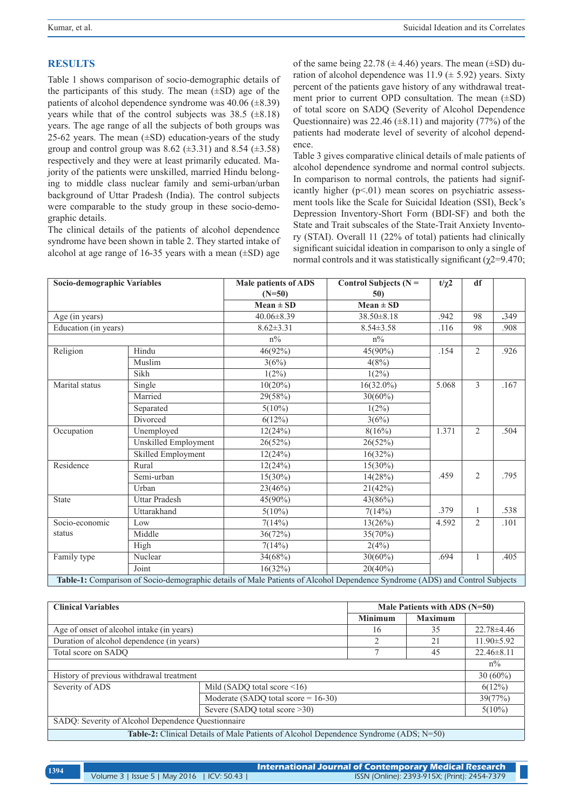# **RESULTS**

Table 1 shows comparison of socio-demographic details of the participants of this study. The mean  $(\pm SD)$  age of the patients of alcohol dependence syndrome was  $40.06 \ (\pm 8.39)$ years while that of the control subjects was  $38.5$  ( $\pm 8.18$ ) years. The age range of all the subjects of both groups was 25-62 years. The mean  $(\pm SD)$  education-years of the study group and control group was 8.62 ( $\pm$ 3.31) and 8.54 ( $\pm$ 3.58) respectively and they were at least primarily educated. Majority of the patients were unskilled, married Hindu belonging to middle class nuclear family and semi-urban/urban background of Uttar Pradesh (India). The control subjects were comparable to the study group in these socio-demographic details.

The clinical details of the patients of alcohol dependence syndrome have been shown in table 2. They started intake of alcohol at age range of 16-35 years with a mean  $(\pm SD)$  age of the same being 22.78 ( $\pm$  4.46) years. The mean ( $\pm$ SD) duration of alcohol dependence was  $11.9 \ (\pm 5.92)$  years. Sixty percent of the patients gave history of any withdrawal treatment prior to current OPD consultation. The mean (±SD) of total score on SADQ (Severity of Alcohol Dependence Questionnaire) was  $22.46 \ (\pm 8.11)$  and majority (77%) of the patients had moderate level of severity of alcohol dependence.

Table 3 gives comparative clinical details of male patients of alcohol dependence syndrome and normal control subjects. In comparison to normal controls, the patients had significantly higher  $(p<01)$  mean scores on psychiatric assessment tools like the Scale for Suicidal Ideation (SSI), Beck's Depression Inventory-Short Form (BDI-SF) and both the State and Trait subscales of the State-Trait Anxiety Inventory (STAI). Overall 11 (22% of total) patients had clinically significant suicidal ideation in comparison to only a single of normal controls and it was statistically significant ( $χ$ 2=9.470;

| Socio-demographic Variables                                                                                                 |                      | <b>Male patients of ADS</b><br>$(N=50)$ | Control Subjects ( $N =$<br>50) | $t/\chi$ 2 | df             |      |
|-----------------------------------------------------------------------------------------------------------------------------|----------------------|-----------------------------------------|---------------------------------|------------|----------------|------|
|                                                                                                                             |                      | $Mean \pm SD$                           | $Mean \pm SD$                   |            |                |      |
| Age (in years)                                                                                                              |                      | $40.06 \pm 8.39$                        | $38.50 \pm 8.18$                | .942       | 98             | .349 |
| Education (in years)                                                                                                        |                      | $8.62 \pm 3.31$                         | $8.54 \pm 3.58$                 | .116       | 98             | .908 |
|                                                                                                                             |                      | $n\%$                                   | $n\%$                           |            |                |      |
| Religion                                                                                                                    | Hindu                | $46(92\%)$                              | 45(90%)                         | .154       | $\overline{2}$ | .926 |
|                                                                                                                             | Muslim               | 3(6%)                                   | 4(8%)                           |            |                |      |
|                                                                                                                             | Sikh                 | $1(2\%)$                                | $1(2\%)$                        |            |                |      |
| Marital status                                                                                                              | Single               | $10(20\%)$                              | $16(32.0\%)$                    | 5.068      | 3              | .167 |
|                                                                                                                             | Married              | 29(58%)                                 | $30(60\%)$                      |            |                |      |
|                                                                                                                             | Separated            | $5(10\%)$                               | $1(2\%)$                        |            |                |      |
|                                                                                                                             | Divorced             | 6(12%)                                  | 3(6%)                           |            |                |      |
| Occupation                                                                                                                  | Unemployed           | 12(24%)                                 | 8(16%)                          | 1.371      | $\overline{2}$ | .504 |
|                                                                                                                             | Unskilled Employment | 26(52%)                                 | 26(52%)                         |            |                |      |
|                                                                                                                             | Skilled Employment   | 12(24%)                                 | 16(32%)                         |            |                |      |
| Residence                                                                                                                   | Rural                | 12(24%)                                 | $15(30\%)$                      |            |                |      |
|                                                                                                                             | Semi-urban           | $15(30\%)$                              | 14(28%)                         | .459       | $\overline{2}$ | .795 |
|                                                                                                                             | Urban                | 23(46%)                                 | 21(42%)                         |            |                |      |
| <b>State</b>                                                                                                                | <b>Uttar Pradesh</b> | $45(90\%)$                              | 43(86%)                         |            |                |      |
|                                                                                                                             | Uttarakhand          | $5(10\%)$                               | 7(14%)                          | .379       | 1              | .538 |
| Socio-economic                                                                                                              | Low                  | 7(14%)                                  | 13(26%)                         | 4.592      | $\mathfrak{D}$ | .101 |
| status                                                                                                                      | Middle               | 36(72%)                                 | 35(70%)                         |            |                |      |
|                                                                                                                             | High                 | 7(14%)                                  | 2(4%)                           |            |                |      |
| Family type                                                                                                                 | Nuclear              | 34(68%)                                 | $30(60\%)$                      | .694       | 1              | .405 |
|                                                                                                                             | Joint                | 16(32%)                                 | $20(40\%)$                      |            |                |      |
| Table-1: Comparison of Socio-demographic details of Male Patients of Alcohol Dependence Syndrome (ADS) and Control Subjects |                      |                                         |                                 |            |                |      |

| <b>Clinical Variables</b>                                                                    |                                        | Male Patients with ADS $(N=50)$ |                |                  |  |
|----------------------------------------------------------------------------------------------|----------------------------------------|---------------------------------|----------------|------------------|--|
|                                                                                              |                                        | <b>Minimum</b>                  | <b>Maximum</b> |                  |  |
| Age of onset of alcohol intake (in years)                                                    |                                        | 16                              | 35             | 22.78 ± 4.46     |  |
| Duration of alcohol dependence (in years)                                                    |                                        | $\overline{c}$                  | 21             | $11.90 \pm 5.92$ |  |
| Total score on SADO                                                                          |                                        |                                 | 45             | $22.46 \pm 8.11$ |  |
|                                                                                              |                                        |                                 |                | $n\%$            |  |
| History of previous withdrawal treatment                                                     |                                        |                                 | $30(60\%)$     |                  |  |
| Severity of ADS                                                                              | Mild (SADQ total score $\leq 16$ )     |                                 |                | $6(12\%)$        |  |
|                                                                                              | Moderate (SADQ total score = $16-30$ ) |                                 |                | 39(77%)          |  |
|                                                                                              | Severe (SADQ total score > 30)         |                                 |                | $5(10\%)$        |  |
| SADQ: Severity of Alcohol Dependence Questionnaire                                           |                                        |                                 |                |                  |  |
| <b>Table-2:</b> Clinical Details of Male Patients of Alcohol Dependence Syndrome (ADS; N=50) |                                        |                                 |                |                  |  |

**International Journal of Contemporary Medical Research**  Volume 3 | Issue 5 | May 2016 | ICV: 50.43 | ISSN (Online): 2393-915X; (Print): 2454-7379 **<sup>1394</sup>**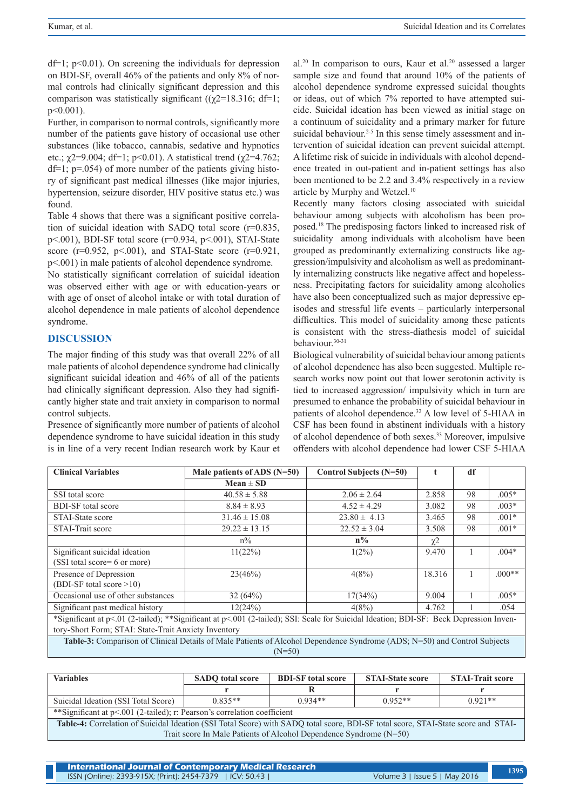$df=1$ ;  $p<0.01$ ). On screening the individuals for depression on BDI-SF, overall 46% of the patients and only 8% of normal controls had clinically significant depression and this comparison was statistically significant ( $(\chi$ 2=18.316; df=1; p<0.001).

Further, in comparison to normal controls, significantly more number of the patients gave history of occasional use other substances (like tobacco, cannabis, sedative and hypnotics etc.;  $\chi$ 2=9.004; df=1; p<0.01). A statistical trend ( $\chi$ 2=4.762;  $df=1$ ; p=.054) of more number of the patients giving history of significant past medical illnesses (like major injuries, hypertension, seizure disorder, HIV positive status etc.) was found.

Table 4 shows that there was a significant positive correlation of suicidal ideation with SADQ total score (r=0.835, p<.001), BDI-SF total score (r=0.934, p<.001), STAI-State score ( $r=0.952$ ,  $p<.001$ ), and STAI-State score ( $r=0.921$ , p<.001) in male patients of alcohol dependence syndrome.

No statistically significant correlation of suicidal ideation was observed either with age or with education-years or with age of onset of alcohol intake or with total duration of alcohol dependence in male patients of alcohol dependence syndrome.

### **DISCUSSION**

The major finding of this study was that overall 22% of all male patients of alcohol dependence syndrome had clinically significant suicidal ideation and 46% of all of the patients had clinically significant depression. Also they had significantly higher state and trait anxiety in comparison to normal control subjects.

Presence of significantly more number of patients of alcohol dependence syndrome to have suicidal ideation in this study is in line of a very recent Indian research work by Kaur et  $al.^{20}$  In comparison to ours, Kaur et al.<sup>20</sup> assessed a larger sample size and found that around 10% of the patients of alcohol dependence syndrome expressed suicidal thoughts or ideas, out of which 7% reported to have attempted suicide. Suicidal ideation has been viewed as initial stage on a continuum of suicidality and a primary marker for future suicidal behaviour.<sup>2-5</sup> In this sense timely assessment and intervention of suicidal ideation can prevent suicidal attempt. A lifetime risk of suicide in individuals with alcohol dependence treated in out-patient and in-patient settings has also been mentioned to be 2.2 and 3.4% respectively in a review article by Murphy and Wetzel.<sup>10</sup>

Recently many factors closing associated with suicidal behaviour among subjects with alcoholism has been proposed.18 The predisposing factors linked to increased risk of suicidality among individuals with alcoholism have been grouped as predominantly externalizing constructs like aggression/impulsivity and alcoholism as well as predominantly internalizing constructs like negative affect and hopelessness. Precipitating factors for suicidality among alcoholics have also been conceptualized such as major depressive episodes and stressful life events – particularly interpersonal difficulties. This model of suicidality among these patients is consistent with the stress-diathesis model of suicidal behaviour.30-31

Biological vulnerability of suicidal behaviour among patients of alcohol dependence has also been suggested. Multiple research works now point out that lower serotonin activity is tied to increased aggression/ impulsivity which in turn are presumed to enhance the probability of suicidal behaviour in patients of alcohol dependence.32 A low level of 5-HIAA in CSF has been found in abstinent individuals with a history of alcohol dependence of both sexes.33 Moreover, impulsive offenders with alcohol dependence had lower CSF 5-HIAA

| <b>Clinical Variables</b>                                                                                                              | Male patients of ADS $(N=50)$ | Control Subjects (N=50) | t                   | df |          |  |  |
|----------------------------------------------------------------------------------------------------------------------------------------|-------------------------------|-------------------------|---------------------|----|----------|--|--|
|                                                                                                                                        | $Mean \pm SD$                 |                         |                     |    |          |  |  |
| SSI total score                                                                                                                        | $40.58 \pm 5.88$              | $2.06 \pm 2.64$         | 2.858               | 98 | $.005*$  |  |  |
| <b>BDI-SF</b> total score                                                                                                              | $8.84 \pm 8.93$               | $4.52 \pm 4.29$         | 3.082               | 98 | $.003*$  |  |  |
| STAI-State score                                                                                                                       | $31.46 \pm 15.08$             | $23.80 \pm 4.13$        | 3.465               | 98 | $.001*$  |  |  |
| STAI-Trait score                                                                                                                       | $29.22 \pm 13.15$             | $22.52 \pm 3.04$        | 3.508               | 98 | $.001*$  |  |  |
|                                                                                                                                        | $n\%$                         | $n\%$                   | $\chi$ <sup>2</sup> |    |          |  |  |
| Significant suicidal ideation                                                                                                          | 11(22%)                       | $1(2\%)$                | 9.470               |    | $.004*$  |  |  |
| (SSI total score= 6 or more)                                                                                                           |                               |                         |                     |    |          |  |  |
| Presence of Depression                                                                                                                 | 23(46%)                       | 4(8%)                   | 18.316              |    | $.000**$ |  |  |
| $(BDI-SF total score > 10)$                                                                                                            |                               |                         |                     |    |          |  |  |
| Occasional use of other substances                                                                                                     | 32(64%)                       | 17(34%)                 | 9.004               |    | $.005*$  |  |  |
| Significant past medical history                                                                                                       | 12(24%)                       | 4(8%)                   | 4.762               |    | .054     |  |  |
| *Significant at p<.01 (2-tailed); **Significant at p<.001 (2-tailed); SSI: Scale for Suicidal Ideation; BDI-SF: Beck Depression Inven- |                               |                         |                     |    |          |  |  |
| tory-Short Form; STAI: State-Trait Anxiety Inventory                                                                                   |                               |                         |                     |    |          |  |  |
| Table-3: Comparison of Clinical Details of Male Patients of Alcohol Dependence Syndrome (ADS; N=50) and Control Subjects               |                               |                         |                     |    |          |  |  |
| $(N=50)$                                                                                                                               |                               |                         |                     |    |          |  |  |

| <b>Variables</b>                                                                                                                  | <b>SADO</b> total score | <b>BDI-SF</b> total score | <b>STAI-State score</b> | <b>STAL-Trait score</b> |  |  |
|-----------------------------------------------------------------------------------------------------------------------------------|-------------------------|---------------------------|-------------------------|-------------------------|--|--|
|                                                                                                                                   |                         |                           |                         |                         |  |  |
| Suicidal Ideation (SSI Total Score)                                                                                               | $0.835**$               | $0.934**$                 | $0.952**$               | $0.921**$               |  |  |
| **Significant at p<.001 (2-tailed); r: Pearson's correlation coefficient                                                          |                         |                           |                         |                         |  |  |
| Table-4: Correlation of Suicidal Ideation (SSI Total Score) with SADQ total score, BDI-SF total score, STAI-State score and STAI- |                         |                           |                         |                         |  |  |

Trait score In Male Patients of Alcohol Dependence Syndrome (N=50)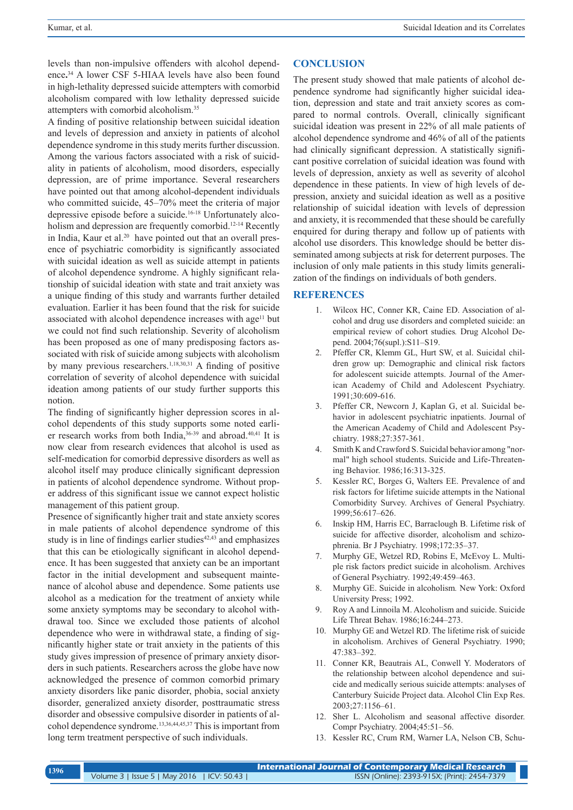levels than non-impulsive offenders with alcohol dependence**.** 34 A lower CSF 5-HIAA levels have also been found in high-lethality depressed suicide attempters with comorbid alcoholism compared with low lethality depressed suicide attempters with comorbid alcoholism.35

A finding of positive relationship between suicidal ideation and levels of depression and anxiety in patients of alcohol dependence syndrome in this study merits further discussion. Among the various factors associated with a risk of suicidality in patients of alcoholism, mood disorders, especially depression, are of prime importance. Several researchers have pointed out that among alcohol-dependent individuals who committed suicide, 45–70% meet the criteria of major depressive episode before a suicide.16-18 Unfortunately alcoholism and depression are frequently comorbid.<sup>12-14</sup> Recently in India, Kaur et al.<sup>20</sup> have pointed out that an overall presence of psychiatric comorbidity is significantly associated with suicidal ideation as well as suicide attempt in patients of alcohol dependence syndrome. A highly significant relationship of suicidal ideation with state and trait anxiety was a unique finding of this study and warrants further detailed evaluation. Earlier it has been found that the risk for suicide associated with alcohol dependence increases with age<sup>11</sup> but we could not find such relationship. Severity of alcoholism has been proposed as one of many predisposing factors associated with risk of suicide among subjects with alcoholism by many previous researchers.<sup>1,18,30,31</sup> A finding of positive correlation of severity of alcohol dependence with suicidal ideation among patients of our study further supports this notion.

The finding of significantly higher depression scores in alcohol dependents of this study supports some noted earlier research works from both India,<sup>36-39</sup> and abroad.<sup>40,41</sup> It is now clear from research evidences that alcohol is used as self-medication for comorbid depressive disorders as well as alcohol itself may produce clinically significant depression in patients of alcohol dependence syndrome. Without proper address of this significant issue we cannot expect holistic management of this patient group.

Presence of significantly higher trait and state anxiety scores in male patients of alcohol dependence syndrome of this study is in line of findings earlier studies $42,43$  and emphasizes that this can be etiologically significant in alcohol dependence. It has been suggested that anxiety can be an important factor in the initial development and subsequent maintenance of alcohol abuse and dependence. Some patients use alcohol as a medication for the treatment of anxiety while some anxiety symptoms may be secondary to alcohol withdrawal too. Since we excluded those patients of alcohol dependence who were in withdrawal state, a finding of significantly higher state or trait anxiety in the patients of this study gives impression of presence of primary anxiety disorders in such patients. Researchers across the globe have now acknowledged the presence of common comorbid primary anxiety disorders like panic disorder, phobia, social anxiety disorder, generalized anxiety disorder, posttraumatic stress disorder and obsessive compulsive disorder in patients of alcohol dependence syndrome.13,36,44,45,37 This is important from long term treatment perspective of such individuals.

## **CONCLUSION**

The present study showed that male patients of alcohol dependence syndrome had significantly higher suicidal ideation, depression and state and trait anxiety scores as compared to normal controls. Overall, clinically significant suicidal ideation was present in 22% of all male patients of alcohol dependence syndrome and 46% of all of the patients had clinically significant depression. A statistically significant positive correlation of suicidal ideation was found with levels of depression, anxiety as well as severity of alcohol dependence in these patients. In view of high levels of depression, anxiety and suicidal ideation as well as a positive relationship of suicidal ideation with levels of depression and anxiety, it is recommended that these should be carefully enquired for during therapy and follow up of patients with alcohol use disorders. This knowledge should be better disseminated among subjects at risk for deterrent purposes. The inclusion of only male patients in this study limits generalization of the findings on individuals of both genders.

### **REFERENCES**

- 1. Wilcox HC, Conner KR, Caine ED. Association of alcohol and drug use disorders and completed suicide: an empirical review of cohort studies*.* Drug Alcohol Depend. 2004;76(supl.):S11–S19.
- 2. Pfeffer CR, Klemm GL, Hurt SW, et al. Suicidal children grow up: Demographic and clinical risk factors for adolescent suicide attempts. Journal of the American Academy of Child and Adolescent Psychiatry. 1991;30:609-616.
- 3. Pfeffer CR, Newcorn J, Kaplan G, et al. Suicidal behavior in adolescent psychiatric inpatients. Journal of the American Academy of Child and Adolescent Psychiatry. 1988;27:357-361.
- 4. Smith K and Crawford S. Suicidal behavior among "normal" high school students. Suicide and Life-Threatening Behavior. 1986;16:313-325.
- 5. Kessler RC, Borges G, Walters EE. Prevalence of and risk factors for lifetime suicide attempts in the National Comorbidity Survey. Archives of General Psychiatry. 1999;56:617–626.
- 6. Inskip HM, Harris EC, Barraclough B. Lifetime risk of suicide for affective disorder, alcoholism and schizophrenia. Br J Psychiatry. 1998;172:35–37.
- 7. Murphy GE, Wetzel RD, Robins E, McEvoy L. Multiple risk factors predict suicide in alcoholism. Archives of General Psychiatry. 1992;49:459–463.
- 8. Murphy GE. Suicide in alcoholism*.* New York: Oxford University Press; 1992.
- 9. Roy A and Linnoila M. Alcoholism and suicide. Suicide Life Threat Behav. 1986;16:244–273.
- 10. Murphy GE and Wetzel RD. The lifetime risk of suicide in alcoholism. Archives of General Psychiatry. 1990; 47:383–392.
- 11. Conner KR, Beautrais AL, Conwell Y. Moderators of the relationship between alcohol dependence and suicide and medically serious suicide attempts: analyses of Canterbury Suicide Project data. Alcohol Clin Exp Res. 2003;27:1156–61.
- 12. Sher L. Alcoholism and seasonal affective disorder. Compr Psychiatry. 2004;45:51–56.
- 13. Kessler RC, Crum RM, Warner LA, Nelson CB, Schu-